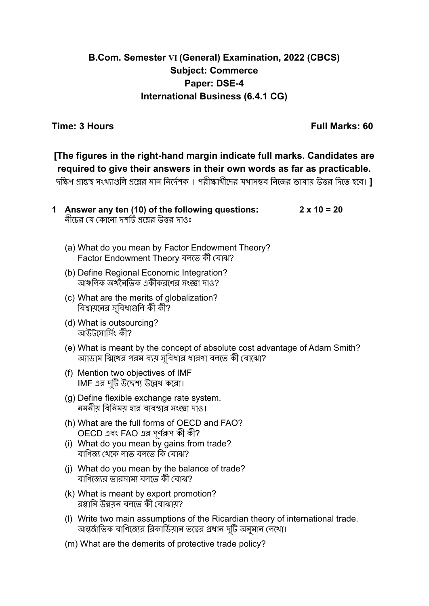## **B.Com. Semester VI (General) Examination, 2022 (CBCS) Subject: Commerce Paper: DSE-4 International Business (6.4.1 CG)**

**Time: 3 Hours Full Marks: 60**

# **[The figures in the right-hand margin indicate full marks. Candidates are required to give their answers in their own words as far as practicable.**

দক্ষিণ প্রান্তস্থ সংখ্যাগুলি প্রশ্নের মান নির্দেশক । পরীক্ষার্থীদের যথাসম্ভব নিজের ভাষায় উত্তর দিতে হবে। **]**

| 1 Answer any ten (10) of the following questions: | $2 \times 10 = 20$ |
|---------------------------------------------------|--------------------|
| নীচের যে কোনো দশটি প্রশ্নের উত্তর দাওঃ            |                    |

- (a) What do you mean by Factor Endowment Theory? Factor Endowment Theory বলতে কী বোঝ?
- (b) Define Regional Economic Integration? আঞ্চলিক অর্থনৈতিক একীকরণের সংজ্ঞা দাও?
- (c) What are the merits of globalization? বিশ্বায়নের সুবিধাগুলি কী কী?
- (d) What is outsourcing? আউটসোর্সিং কী?
- (e) What is meant by the concept of absolute cost advantage of Adam Smith? অ্যাডাম স্মিথের পরম ব্যয় সুবিধার ধারণা বলতে কী বোঝো?
- (f) Mention two objectives of IMF IMF এর দটিু উদ্দেশ্য উল্লেখ করো।
- (g) Define flexible exchange rate system. নমনীয় বিনিময় হার ব্যবস্থার সংজ্ঞা দাও।
- (h) What are the full forms of OECD and FAO? OECD এবং FAO এর পূর্ণরূপ কী কী?
- (i) What do you mean by gains from trade? বাণিজ্য থেকে লাভ বলতে কি বোঝ?
- (j) What do you mean by the balance of trade? বাণিজ্যের ভারসাম্য বলতে কী বোঝ?
- (k) What is meant by export promotion? রপ্তানি উন্নয়ন বলতে কী বোঝায়?
- (l) Write two main assumptions of the Ricardian theory of international trade. আন্তর্জাতিক বাণিজ্যের রিকার্ডিয়ান তত্ত্বের প্রধান দুটি অনুমান লেখো।
- (m) What are the demerits of protective trade policy?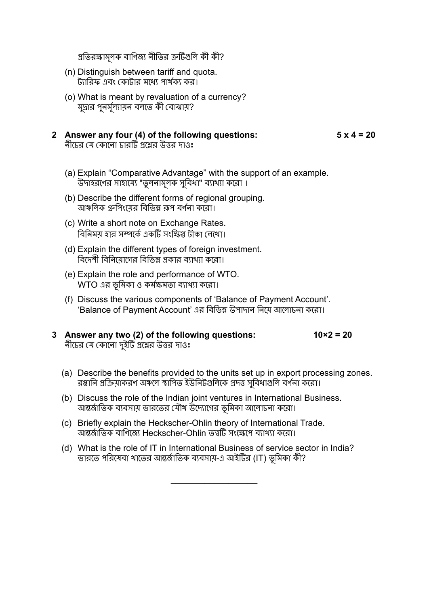প্রতিরক্ষামলকূ বাণিজ্য নীতির ত্রুটিগুলি কী কী?

- (n) Distinguish between tariff and quota. ট্যারিফ এবং কোটার মধ্যে পার্থক্য কর।
- (o) What is meant by revaluation of a currency? মদ্রার পনর্মল্যায়ন বলতে কী বোঝায়?
- **2 Answer any four (4) of the following questions: 5 x 4 = 20** নীচের যে কোনো চারটি প্রশ্নের উত্তর দাওঃ

- (a) Explain "Comparative Advantage" with the support of an example. উদাহরণের সাহায্যে "তুলনামলকূ সুবিধা" ব্যাখ্যা করো ।
- (b) Describe the different forms of regional grouping. আঞ্চলিক গ্রুপিংযের বিভিন্ন রূপ বর্ণনা করো।
- (c) Write a short note on Exchange Rates. বিনিময় হার সম্পর্কে একটি সংক্ষিপ্ত টীকা লেখো।
- (d) Explain the different types of foreign investment. বিদেশী বিনিয়োগের বিভিন্ন প্রকার ব্যাখ্যা করো।
- (e) Explain the role and performance of WTO. WTO এর ভূমিকা ও কর্মক্ষমতা ব্যাখ্যা করো।
- (f) Discuss the various components of 'Balance of Payment Account'. 'Balance of Payment Account' এর বিভিন্ন উপাদান নিয়ে আলোচনা করো।

#### **3 Answer any two (2) of the following questions: 10×2 = 20** নীচের যে কোনো দইুটি প্রশ্নের উত্তর দাওঃ

- (a) Describe the benefits provided to the units set up in export processing zones. রপ্তানি প্রক্রিয়াকরণ অঞ্চলে স্থাপিত ইউনিটগুলিকে প্রদত্ত সুবিধাগুলি বর্ণনা করো।
- (b) Discuss the role of the Indian joint ventures in International Business. আন্তর্জাতিক ব্যবসায় ভারতের যৌথ উদ্যোগের ভূমিকা আলোচনা করো।
- (c) Briefly explain the Heckscher-Ohlin theory of International Trade. আন্তর্জাতিক বাণিজ্যে Heckscher-Ohlin তত্ত্বটি সংক্ষেপে ব্যাখ্যা করো।
- (d) What is the role of IT in International Business of service sector in India? ভারতে পরিষেবা খাতের আন্তর্জাতিক ব্যবসায়-এ আইটির (IT) ভূমিকা কী?

 $\overline{\phantom{a}}$  , where  $\overline{\phantom{a}}$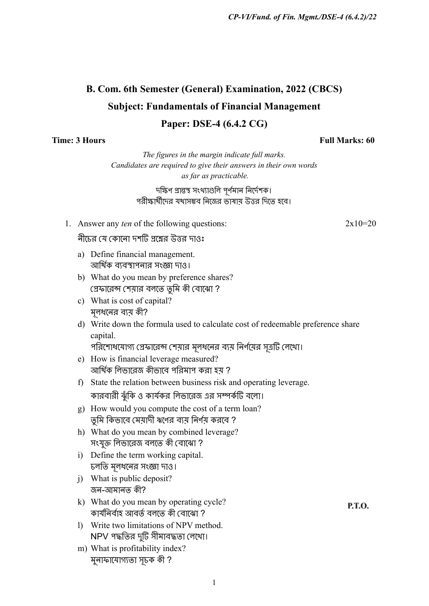# **B. Com. 6th Semester (General) Examination, 2022 (CBCS) Subject: Fundamentals of Financial Management Paper: DSE-4 (6.4.2 CG)**

#### **Time: 3 Hours Full Marks: 60**

*The figures in the margin indicate full marks. Candidates are required to give their answers in their own words as far as practicable.*

#### দক্ষিণ প্রান্তস্থ সংখ্যাগুলি পূর্ণমান নির্দেশক। পরীক্ষার্থীদের যথাসম্ভব নিজের ভাষায় উত্তর দিতে হবে।

1. Answer any *ten* of the following questions: 2x10=20

নীচের যে কোনো দশটি প্রশ্নের উত্তর দাওঃ

- a) Define financial management. আর্থিক ব্যবস্থাপনার সংজ্ঞা দাও।
- b) What do you mean by preference shares? প্রেফারেন্স শেয়ার বলতে তুমি কী বোঝো ?
- c) What is cost of capital? মূলধনের ব্যয় কী?
- d) Write down the formula used to calculate cost of redeemable preference share capital.

পরিশোধযোগ্য প্রেফারেন্স শেয়ার মূলধনের ব্যয় নির্ণয়ের সূত্রটি লেখো।

- e) How is financial leverage measured? আর্থিক লিভারেজ কীভাবে পরিমাপ করা হয় ?
- f) State the relation between business risk and operating leverage. কারবারী ঝুঁকি ও কার্যকর লিভারেজ এর সম্পর্কটি বলো।
- g) How would you compute the cost of a term loan? তুমি কিভাবে মেয়াদী ঋণের ব্যয় নির্ণয় করবে ?
- h) What do you mean by combined leverage? সংযুক্ত লিভারেজ বলতে কী বোঝো ?
- i) Define the term working capital. চলতি মলধনের সংজ্ঞা দাও।
- j) What is public deposit? জন-আমানত কী?
- k) What do you mean by operating cycle? কার্যনির্বাহ আবর্ত বলতে কী বোঝো ?
- l) Write two limitations of NPV method. NPV পদ্ধতির দটিু সীমাবদ্ধতা লেখো।
- m) What is profitability index? মুনাফাযোগ্যতা সূচক কী ?

P.T.O.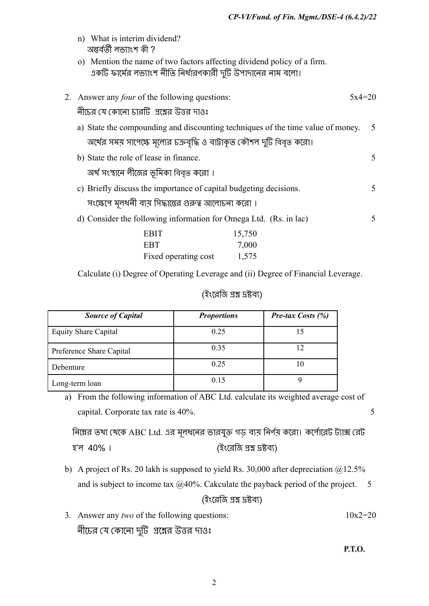|                                                        | n) What is interim dividend?<br>অন্তৰ্বৰ্তী লভ্যাংশ কী ?                                                                                 |          |  |  |
|--------------------------------------------------------|------------------------------------------------------------------------------------------------------------------------------------------|----------|--|--|
|                                                        | o) Mention the name of two factors affecting dividend policy of a firm.<br>একটি ফার্মের লভ্যাংশ নীতি নির্ধারণকারী দুটি উপাদানের নাম বলো। |          |  |  |
|                                                        | Answer any <i>four</i> of the following questions:                                                                                       | $5x4=20$ |  |  |
|                                                        | নীচের যে কোনো চারটি  প্রশ্লের উত্তর দাওঃ                                                                                                 |          |  |  |
|                                                        | a) State the compounding and discounting techniques of the time value of money.                                                          | 5        |  |  |
|                                                        | অর্থের সময় সাপেক্ষে মূল্যের চক্রবৃদ্ধি ও বাট্টাকৃত কৌশল দুটি বিবৃত করো।                                                                 |          |  |  |
|                                                        | b) State the role of lease in finance.                                                                                                   | 5        |  |  |
|                                                        | অর্থ সংস্থানে লীজের ভূমিকা বিবৃত করো ।                                                                                                   |          |  |  |
|                                                        | c) Briefly discuss the importance of capital budgeting decisions.                                                                        | 5        |  |  |
| সংক্ষেপে মূলধনী ব্যয় সিদ্ধান্তের গুরুত্ব আলোচনা করো । |                                                                                                                                          |          |  |  |
|                                                        | d) Consider the following information for Omega Ltd. (Rs. in lac)                                                                        | 5        |  |  |
|                                                        | <b>EBIT</b><br>15,750                                                                                                                    |          |  |  |
|                                                        | <b>EBT</b><br>7,000                                                                                                                      |          |  |  |
|                                                        | Fixed operating cost<br>1,575                                                                                                            |          |  |  |
|                                                        |                                                                                                                                          |          |  |  |

Calculate (i) Degree of Operating Leverage and (ii) Degree of Financial Leverage.

### (ইংরেজি প্রশ্ন দ্রষ্টব্য)

| <b>Source of Capital</b>    | <b>Proportions</b> | <b>Pre-tax Costs <math>(\%)</math></b> |
|-----------------------------|--------------------|----------------------------------------|
| <b>Equity Share Capital</b> | 0.25               |                                        |
| Preference Share Capital    | 0.35               |                                        |
| Debenture                   | 0.25               |                                        |
| Long-term loan              | 0.15               |                                        |

a) From the following information of ABC Ltd. calculate its weighted average cost of capital. Corporate tax rate is 40%. 5

নিম্নের তথ্য থেকে ABC Ltd. এর মূলধনের ভারযুক্ত গড় ব্যয় নির্ণয় করো। কর্পোরেট ট্যাক্স রেট হ'ল 40% । (ইংরেজি প্রশ্ন দ্রষ্টব্য)

- b) A project of Rs. 20 lakh is supposed to yield Rs. 30,000 after depreciation @12.5% and is subject to income tax  $@40\%$ . Cakculate the payback period of the project. 5 (ইংরেজি প্রশ্ন দ্রষ্টব্য)
- 3. Answer any *two* of the following questions:  $10x2=20$ নীচের যে কোনো দুটি প্রশ্নের উত্তর দাওঃ

P.T.O.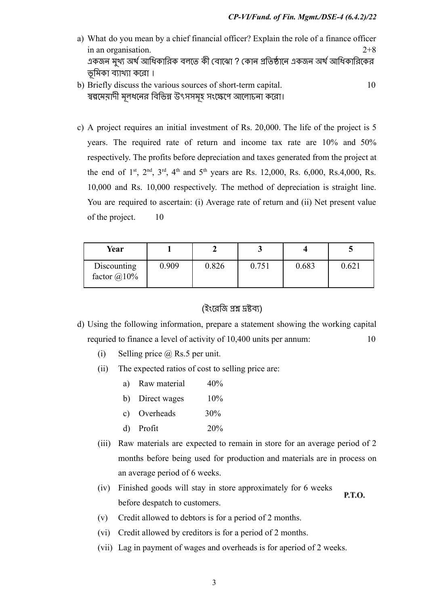- a) What do you mean by a chief financial officer? Explain the role of a finance officer in an organisation. 2+8 একজন মখু্য অর্থ আধিকারিক বলতে কী বোঝো ? কোন প্রতিষ্ঠানে একজন অর্থ আধিকারিকের ভূমিকা ব্যাখ্যা করো ।
- b) Briefly discuss the various sources of short-term capital. 10 স্বল্পমেয়াদী মূলধনের বিভিন্ন উৎসসমূহ সংক্ষেপে আলোচনা করো।
- c) A project requires an initial investment of Rs. 20,000. The life of the project is 5 years. The required rate of return and income tax rate are 10% and 50% respectively. The profits before depreciation and taxes generated from the project at the end of  $1^{st}$ ,  $2^{nd}$ ,  $3^{rd}$ ,  $4^{th}$  and  $5^{th}$  years are Rs. 12,000, Rs. 6,000, Rs. 4,000, Rs. 10,000 and Rs. 10,000 respectively. The method of depreciation is straight line. You are required to ascertain: (i) Average rate of return and (ii) Net present value of the project. 10

| Year                                      |       |       |       |       |       |
|-------------------------------------------|-------|-------|-------|-------|-------|
| <b>Discounting</b><br>factor $\omega$ 10% | 0.909 | 0.826 | 0.751 | 0.683 | 0.621 |

#### (ইংরেজি প্রশ্ন দ্রষ্টব্য)

- d) Using the following information, prepare a statement showing the working capital requried to finance a level of activity of 10,400 units per annum: 10
	- (i) Selling price  $\omega$  Rs.5 per unit.
	- (ii) The expected ratios of cost to selling price are:
		- a) Raw material 40%
		- b) Direct wages 10%
		- c) Overheads 30%
		- d) Profit 20%
	- (iii) Raw materials are expected to remain in store for an average period of 2 months before being used for production and materials are in process on an average period of 6 weeks.
	- (iv) Finished goods will stay in store approximately for 6 weeks P.T.O. before despatch to customers.
	- (v) Credit allowed to debtors is for a period of 2 months.
	- (vi) Credit allowed by creditors is for a period of 2 months.
	- (vii) Lag in payment of wages and overheads is for aperiod of 2 weeks.